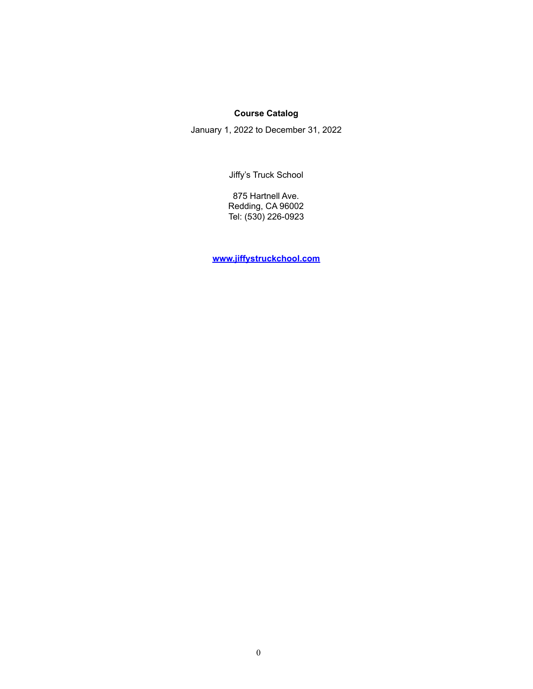# **Course Catalog**

January 1, 2022 to December 31, 2022

Jiffy's Truck School

875 Hartnell Ave. Redding, CA 96002 Tel: (530) 226-0923

**[www.jiffystruckchool.com](http://www.jiffystruckchool.com)**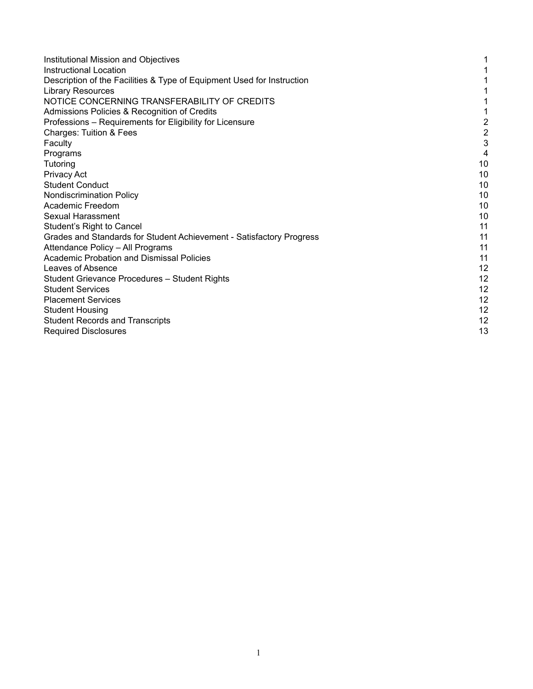| Institutional Mission and Objectives                                   |                         |
|------------------------------------------------------------------------|-------------------------|
| Instructional Location                                                 |                         |
| Description of the Facilities & Type of Equipment Used for Instruction |                         |
| <b>Library Resources</b>                                               |                         |
| NOTICE CONCERNING TRANSFERABILITY OF CREDITS                           |                         |
| Admissions Policies & Recognition of Credits                           |                         |
| Professions - Requirements for Eligibility for Licensure               | $\overline{\mathbf{c}}$ |
| <b>Charges: Tuition &amp; Fees</b>                                     | $\overline{\mathbf{c}}$ |
| Faculty                                                                | 3                       |
| Programs                                                               | 4                       |
| Tutoring                                                               | 10                      |
| Privacy Act                                                            | 10                      |
| <b>Student Conduct</b>                                                 | 10                      |
| <b>Nondiscrimination Policy</b>                                        | 10                      |
| Academic Freedom                                                       | 10                      |
| <b>Sexual Harassment</b>                                               | 10                      |
| Student's Right to Cancel                                              | 11                      |
| Grades and Standards for Student Achievement - Satisfactory Progress   | 11                      |
| Attendance Policy - All Programs                                       | 11                      |
| <b>Academic Probation and Dismissal Policies</b>                       | 11                      |
| Leaves of Absence                                                      | 12                      |
| Student Grievance Procedures - Student Rights                          | 12                      |
| <b>Student Services</b>                                                | 12                      |
| <b>Placement Services</b>                                              | 12                      |
| <b>Student Housing</b>                                                 | 12                      |
| <b>Student Records and Transcripts</b>                                 | 12                      |
| <b>Required Disclosures</b>                                            | 13                      |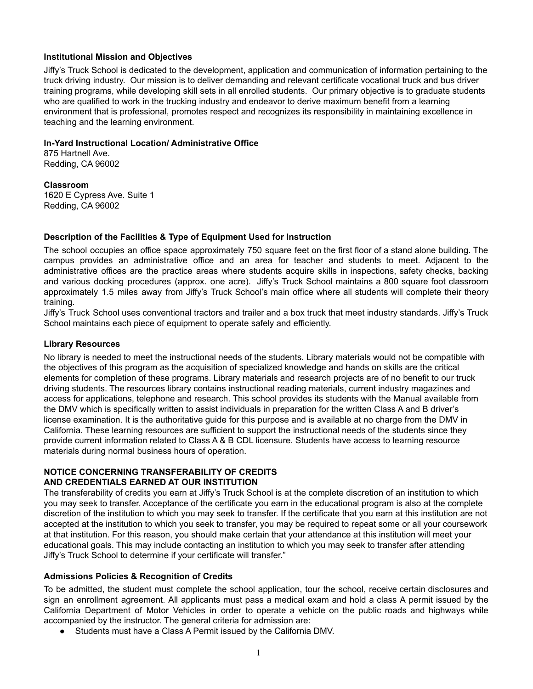## **Institutional Mission and Objectives**

Jiffy's Truck School is dedicated to the development, application and communication of information pertaining to the truck driving industry. Our mission is to deliver demanding and relevant certificate vocational truck and bus driver training programs, while developing skill sets in all enrolled students. Our primary objective is to graduate students who are qualified to work in the trucking industry and endeavor to derive maximum benefit from a learning environment that is professional, promotes respect and recognizes its responsibility in maintaining excellence in teaching and the learning environment.

## **In-Yard Instructional Location/ Administrative Office**

875 Hartnell Ave. Redding, CA 96002

**Classroom**

1620 E Cypress Ave. Suite 1 Redding, CA 96002

## **Description of the Facilities & Type of Equipment Used for Instruction**

The school occupies an office space approximately 750 square feet on the first floor of a stand alone building. The campus provides an administrative office and an area for teacher and students to meet. Adjacent to the administrative offices are the practice areas where students acquire skills in inspections, safety checks, backing and various docking procedures (approx. one acre). Jiffy's Truck School maintains a 800 square foot classroom approximately 1.5 miles away from Jiffy's Truck School's main office where all students will complete their theory training.

Jiffy's Truck School uses conventional tractors and trailer and a box truck that meet industry standards. Jiffy's Truck School maintains each piece of equipment to operate safely and efficiently.

#### **Library Resources**

No library is needed to meet the instructional needs of the students. Library materials would not be compatible with the objectives of this program as the acquisition of specialized knowledge and hands on skills are the critical elements for completion of these programs. Library materials and research projects are of no benefit to our truck driving students. The resources library contains instructional reading materials, current industry magazines and access for applications, telephone and research. This school provides its students with the Manual available from the DMV which is specifically written to assist individuals in preparation for the written Class A and B driver's license examination. It is the authoritative guide for this purpose and is available at no charge from the DMV in California. These learning resources are sufficient to support the instructional needs of the students since they provide current information related to Class A & B CDL licensure. Students have access to learning resource materials during normal business hours of operation.

## **NOTICE CONCERNING TRANSFERABILITY OF CREDITS AND CREDENTIALS EARNED AT OUR INSTITUTION**

The transferability of credits you earn at Jiffy's Truck School is at the complete discretion of an institution to which you may seek to transfer. Acceptance of the certificate you earn in the educational program is also at the complete discretion of the institution to which you may seek to transfer. If the certificate that you earn at this institution are not accepted at the institution to which you seek to transfer, you may be required to repeat some or all your coursework at that institution. For this reason, you should make certain that your attendance at this institution will meet your educational goals. This may include contacting an institution to which you may seek to transfer after attending Jiffy's Truck School to determine if your certificate will transfer."

## <span id="page-2-0"></span>**Admissions Policies & Recognition of Credits**

To be admitted, the student must complete the school application, tour the school, receive certain disclosures and sign an enrollment agreement. All applicants must pass a medical exam and hold a class A permit issued by the California Department of Motor Vehicles in order to operate a vehicle on the public roads and highways while accompanied by the instructor. The general criteria for admission are:

● Students must have a Class A Permit issued by the California DMV.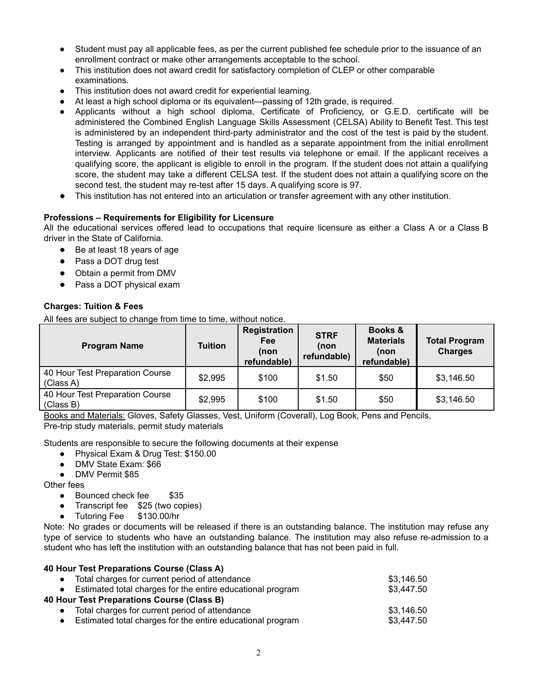- Student must pay all applicable fees, as per the current published fee schedule prior to the issuance of an enrollment contract or make other arrangements acceptable to the school.
- This institution does not award credit for satisfactory completion of CLEP or other comparable examinations.
- This institution does not award credit for experiential learning.
- At least a high school diploma or its equivalent—passing of 12th grade, is required.
- Applicants without a high school diploma, Certificate of Proficiency, or G.E.D. certificate will be administered the Combined English Language Skills Assessment (CELSA) Ability to Benefit Test. This test is administered by an independent third-party administrator and the cost of the test is paid by the student. Testing is arranged by appointment and is handled as a separate appointment from the initial enrollment interview. Applicants are notified of their test results via telephone or email. If the applicant receives a qualifying score, the applicant is eligible to enroll in the program. If the student does not attain a qualifying score, the student may take a different CELSA test. If the student does not attain a qualifying score on the second test, the student may re-test after 15 days. A qualifying score is 97.
- This institution has not entered into an articulation or transfer agreement with any other institution.

## <span id="page-3-0"></span>**Professions – Requirements for Eligibility for Licensure**

All the educational services offered lead to occupations that require licensure as either a Class A or a Class B driver in the State of California.

- Be at least 18 years of age
- Pass a DOT drug test
- Obtain a permit from DMV
- Pass a DOT physical exam

## **Charges: Tuition & Fees**

All fees are subject to change from time to time, without notice.

| <b>Program Name</b>                          | <b>Tuition</b> | <b>Registration</b><br><b>Fee</b><br>(non<br>refundable) | <b>STRF</b><br>(non<br>refundable) | Books &<br><b>Materials</b><br>(non<br>refundable) | <b>Total Program</b><br><b>Charges</b> |
|----------------------------------------------|----------------|----------------------------------------------------------|------------------------------------|----------------------------------------------------|----------------------------------------|
| 40 Hour Test Preparation Course<br>(Class A) | \$2,995        | \$100                                                    | \$1.50                             | \$50                                               | \$3,146.50                             |
| 40 Hour Test Preparation Course<br>(Class B) | \$2,995        | \$100                                                    | \$1.50                             | \$50                                               | \$3,146.50                             |

Books and Materials: Gloves, Safety Glasses, Vest, Uniform (Coverall), Log Book, Pens and Pencils, Pre-trip study materials, permit study materials

Students are responsible to secure the following documents at their expense

- Physical Exam & Drug Test: \$150.00
- DMV State Exam: \$66
- DMV Permit \$85

Other fees

- Bounced check fee \$35
- Transcript fee \$25 (two copies)
- Tutoring Fee \$130.00/hr

Note: No grades or documents will be released if there is an outstanding balance. The institution may refuse any type of service to students who have an outstanding balance. The institution may also refuse re-admission to a student who has left the institution with an outstanding balance that has not been paid in full.

| 40 Hour Test Preparations Course (Class A)                   |            |
|--------------------------------------------------------------|------------|
| • Total charges for current period of attendance             | \$3.146.50 |
| • Estimated total charges for the entire educational program | \$3,447.50 |
| 40 Hour Test Preparations Course (Class B)                   |            |
| Total charges for current period of attendance               | \$3.146.50 |
| Estimated total charges for the entire educational program   | \$3,447.50 |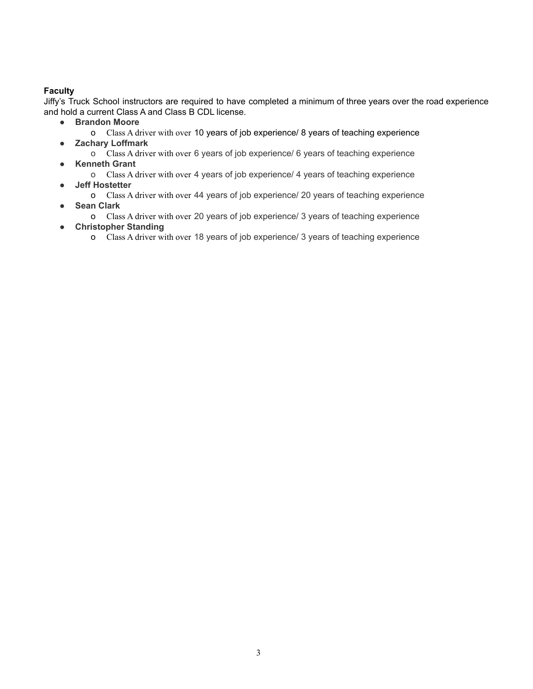## **Faculty**

Jiffy's Truck School instructors are required to have completed a minimum of three years over the road experience and hold a current Class A and Class B CDL license.

- **Brandon Moore**
	- o Class A driver with over 10 years of job experience/ 8 years of teaching experience
- **Zachary Loffmark**
	- o Class A driver with over 6 years of job experience/ 6 years of teaching experience
- **Kenneth Grant**
- o Class A driver with over 4 years of job experience/ 4 years of teaching experience ● **Jeff Hostetter**
	- o Class A driver with over 44 years of job experience/ 20 years of teaching experience ● **Sean Clark**
	- o Class A driver with over 20 years of job experience/ 3 years of teaching experience
- **Christopher Standing**
	- o Class A driver with over 18 years of job experience/ 3 years of teaching experience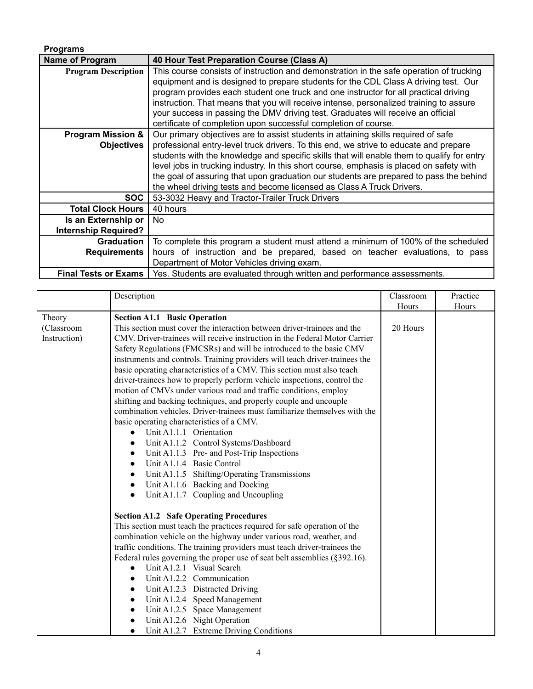| <b>Programs</b>                                    |                                                                                                                                                                                                                                                                                                                                                                                                                                                                                                                                          |
|----------------------------------------------------|------------------------------------------------------------------------------------------------------------------------------------------------------------------------------------------------------------------------------------------------------------------------------------------------------------------------------------------------------------------------------------------------------------------------------------------------------------------------------------------------------------------------------------------|
| <b>Name of Program</b>                             | 40 Hour Test Preparation Course (Class A)                                                                                                                                                                                                                                                                                                                                                                                                                                                                                                |
| <b>Program Description</b>                         | This course consists of instruction and demonstration in the safe operation of trucking<br>equipment and is designed to prepare students for the CDL Class A driving test. Our<br>program provides each student one truck and one instructor for all practical driving<br>instruction. That means that you will receive intense, personalized training to assure<br>your success in passing the DMV driving test. Graduates will receive an official<br>certificate of completion upon successful completion of course.                  |
| <b>Program Mission &amp;</b><br><b>Objectives</b>  | Our primary objectives are to assist students in attaining skills required of safe<br>professional entry-level truck drivers. To this end, we strive to educate and prepare<br>students with the knowledge and specific skills that will enable them to qualify for entry<br>level jobs in trucking industry. In this short course, emphasis is placed on safety with<br>the goal of assuring that upon graduation our students are prepared to pass the behind<br>the wheel driving tests and become licensed as Class A Truck Drivers. |
| <b>SOC</b>                                         | 53-3032 Heavy and Tractor-Trailer Truck Drivers                                                                                                                                                                                                                                                                                                                                                                                                                                                                                          |
| <b>Total Clock Hours</b>                           | 40 hours                                                                                                                                                                                                                                                                                                                                                                                                                                                                                                                                 |
| Is an Externship or<br><b>Internship Required?</b> | No.                                                                                                                                                                                                                                                                                                                                                                                                                                                                                                                                      |
| <b>Graduation</b><br><b>Requirements</b>           | To complete this program a student must attend a minimum of 100% of the scheduled<br>hours of instruction and be prepared, based on teacher evaluations, to pass<br>Department of Motor Vehicles driving exam.                                                                                                                                                                                                                                                                                                                           |
| <b>Final Tests or Exams</b>                        | Yes. Students are evaluated through written and performance assessments.                                                                                                                                                                                                                                                                                                                                                                                                                                                                 |

|              | Description                                                                 | Classroom | Practice |
|--------------|-----------------------------------------------------------------------------|-----------|----------|
|              |                                                                             | Hours     | Hours    |
| Theory       | <b>Section A1.1 Basic Operation</b>                                         |           |          |
| (Classroom   | This section must cover the interaction between driver-trainees and the     | 20 Hours  |          |
| Instruction) | CMV. Driver-trainees will receive instruction in the Federal Motor Carrier  |           |          |
|              | Safety Regulations (FMCSRs) and will be introduced to the basic CMV         |           |          |
|              | instruments and controls. Training providers will teach driver-trainees the |           |          |
|              | basic operating characteristics of a CMV. This section must also teach      |           |          |
|              | driver-trainees how to properly perform vehicle inspections, control the    |           |          |
|              | motion of CMVs under various road and traffic conditions, employ            |           |          |
|              | shifting and backing techniques, and properly couple and uncouple           |           |          |
|              | combination vehicles. Driver-trainees must familiarize themselves with the  |           |          |
|              | basic operating characteristics of a CMV.                                   |           |          |
|              | Unit A1.1.1 Orientation<br>$\bullet$                                        |           |          |
|              | Unit A1.1.2 Control Systems/Dashboard<br>$\bullet$                          |           |          |
|              | Unit A1.1.3 Pre- and Post-Trip Inspections<br>$\bullet$                     |           |          |
|              | Unit A1.1.4 Basic Control<br>$\bullet$                                      |           |          |
|              | Unit A1.1.5 Shifting/Operating Transmissions<br>$\bullet$                   |           |          |
|              | Unit A1.1.6 Backing and Docking<br>$\bullet$                                |           |          |
|              | Unit A1.1.7 Coupling and Uncoupling<br>$\bullet$                            |           |          |
|              |                                                                             |           |          |
|              | <b>Section A1.2 Safe Operating Procedures</b>                               |           |          |
|              | This section must teach the practices required for safe operation of the    |           |          |
|              | combination vehicle on the highway under various road, weather, and         |           |          |
|              | traffic conditions. The training providers must teach driver-trainees the   |           |          |
|              | Federal rules governing the proper use of seat belt assemblies (§392.16).   |           |          |
|              | Unit A1.2.1 Visual Search<br>$\bullet$                                      |           |          |
|              | Unit A1.2.2 Communication<br>$\bullet$                                      |           |          |
|              | Unit A1.2.3 Distracted Driving<br>$\bullet$                                 |           |          |
|              | Unit A1.2.4 Speed Management<br>$\bullet$                                   |           |          |
|              | Unit A1.2.5 Space Management<br>$\bullet$                                   |           |          |
|              | Unit A1.2.6 Night Operation<br>$\bullet$                                    |           |          |
|              | Unit A1.2.7 Extreme Driving Conditions                                      |           |          |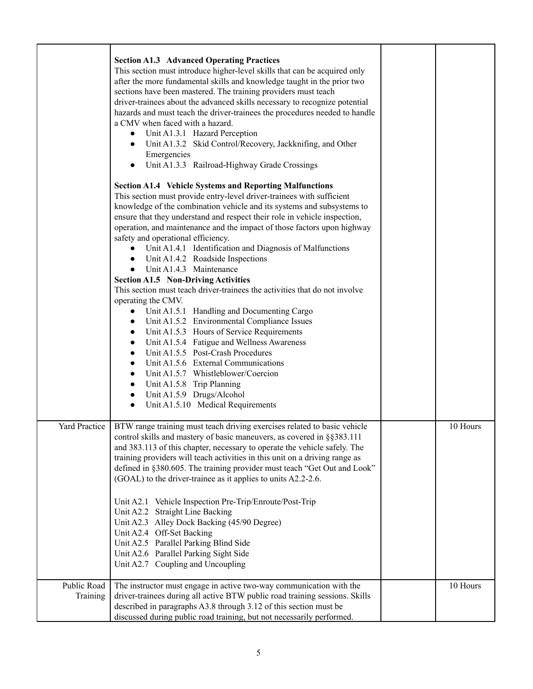|                         | <b>Section A1.3 Advanced Operating Practices</b><br>This section must introduce higher-level skills that can be acquired only<br>after the more fundamental skills and knowledge taught in the prior two<br>sections have been mastered. The training providers must teach<br>driver-trainees about the advanced skills necessary to recognize potential<br>hazards and must teach the driver-trainees the procedures needed to handle<br>a CMV when faced with a hazard.<br>Unit A1.3.1 Hazard Perception<br>$\bullet$<br>Unit A1.3.2 Skid Control/Recovery, Jackknifing, and Other<br>$\bullet$<br>Emergencies<br>Unit A1.3.3 Railroad-Highway Grade Crossings<br>$\bullet$<br><b>Section A1.4 Vehicle Systems and Reporting Malfunctions</b><br>This section must provide entry-level driver-trainees with sufficient<br>knowledge of the combination vehicle and its systems and subsystems to |          |
|-------------------------|----------------------------------------------------------------------------------------------------------------------------------------------------------------------------------------------------------------------------------------------------------------------------------------------------------------------------------------------------------------------------------------------------------------------------------------------------------------------------------------------------------------------------------------------------------------------------------------------------------------------------------------------------------------------------------------------------------------------------------------------------------------------------------------------------------------------------------------------------------------------------------------------------|----------|
|                         | ensure that they understand and respect their role in vehicle inspection,<br>operation, and maintenance and the impact of those factors upon highway<br>safety and operational efficiency.<br>Unit A1.4.1 Identification and Diagnosis of Malfunctions<br>$\bullet$<br>Unit A1.4.2 Roadside Inspections<br>$\bullet$<br>Unit A1.4.3 Maintenance<br>$\bullet$<br><b>Section A1.5 Non-Driving Activities</b>                                                                                                                                                                                                                                                                                                                                                                                                                                                                                         |          |
|                         | This section must teach driver-trainees the activities that do not involve<br>operating the CMV.<br>Unit A1.5.1 Handling and Documenting Cargo<br>$\bullet$<br>Unit A1.5.2 Environmental Compliance Issues<br>$\bullet$<br>Unit A1.5.3 Hours of Service Requirements<br>$\bullet$<br>Unit A1.5.4 Fatigue and Wellness Awareness<br>$\bullet$                                                                                                                                                                                                                                                                                                                                                                                                                                                                                                                                                       |          |
|                         | Unit A1.5.5 Post-Crash Procedures<br>$\bullet$<br>Unit A1.5.6 External Communications<br>$\bullet$<br>Unit A1.5.7 Whistleblower/Coercion<br>$\bullet$<br>Unit A1.5.8 Trip Planning<br>$\bullet$<br>Unit A1.5.9 Drugs/Alcohol<br>$\bullet$<br>Unit A1.5.10 Medical Requirements<br>$\bullet$                                                                                                                                                                                                                                                                                                                                                                                                                                                                                                                                                                                                        |          |
| Yard Practice           | BTW range training must teach driving exercises related to basic vehicle<br>control skills and mastery of basic maneuvers, as covered in §§383.111<br>and 383.113 of this chapter, necessary to operate the vehicle safely. The<br>training providers will teach activities in this unit on a driving range as<br>defined in §380.605. The training provider must teach "Get Out and Look"<br>(GOAL) to the driver-trainee as it applies to units A2.2-2.6.                                                                                                                                                                                                                                                                                                                                                                                                                                        | 10 Hours |
|                         | Unit A2.1 Vehicle Inspection Pre-Trip/Enroute/Post-Trip<br>Unit A2.2 Straight Line Backing<br>Unit A2.3 Alley Dock Backing (45/90 Degree)<br>Unit A2.4 Off-Set Backing<br>Unit A2.5 Parallel Parking Blind Side<br>Unit A2.6 Parallel Parking Sight Side<br>Unit A2.7 Coupling and Uncoupling                                                                                                                                                                                                                                                                                                                                                                                                                                                                                                                                                                                                      |          |
| Public Road<br>Training | The instructor must engage in active two-way communication with the<br>driver-trainees during all active BTW public road training sessions. Skills<br>described in paragraphs A3.8 through 3.12 of this section must be<br>discussed during public road training, but not necessarily performed.                                                                                                                                                                                                                                                                                                                                                                                                                                                                                                                                                                                                   | 10 Hours |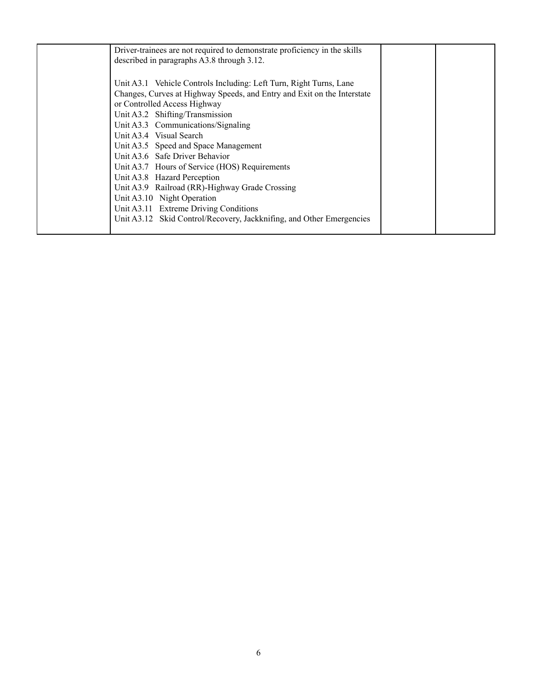| Driver-trainees are not required to demonstrate proficiency in the skills<br>described in paragraphs A3.8 through 3.12.                                                                                                                                                                                                                                                                                                                                                                                                                                                                                                                      |  |
|----------------------------------------------------------------------------------------------------------------------------------------------------------------------------------------------------------------------------------------------------------------------------------------------------------------------------------------------------------------------------------------------------------------------------------------------------------------------------------------------------------------------------------------------------------------------------------------------------------------------------------------------|--|
| Unit A3.1 Vehicle Controls Including: Left Turn, Right Turns, Lane<br>Changes, Curves at Highway Speeds, and Entry and Exit on the Interstate<br>or Controlled Access Highway<br>Unit A3.2 Shifting/Transmission<br>Unit A3.3 Communications/Signaling<br>Unit A3.4 Visual Search<br>Unit A3.5 Speed and Space Management<br>Unit A3.6 Safe Driver Behavior<br>Unit A3.7 Hours of Service (HOS) Requirements<br>Unit A3.8 Hazard Perception<br>Unit A3.9 Railroad (RR)-Highway Grade Crossing<br>Unit A3.10 Night Operation<br>Unit A3.11 Extreme Driving Conditions<br>Unit A3.12 Skid Control/Recovery, Jackknifing, and Other Emergencies |  |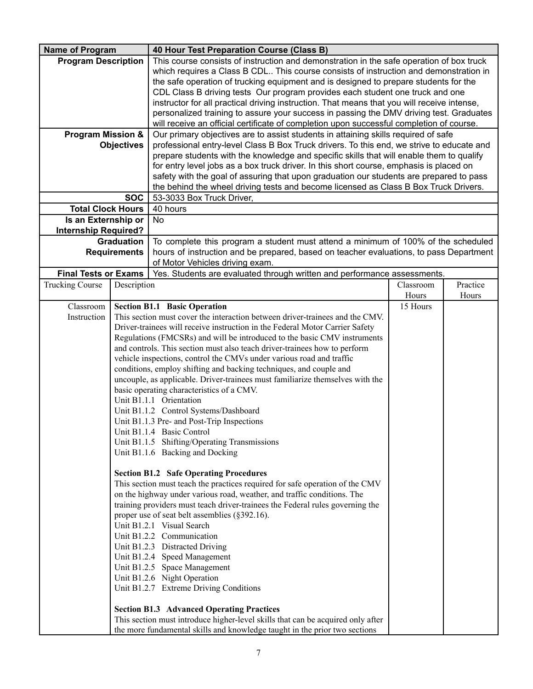| <b>Name of Program</b>                                                        |                                                                                                                                                                                 | 40 Hour Test Preparation Course (Class B)                                                   |           |          |
|-------------------------------------------------------------------------------|---------------------------------------------------------------------------------------------------------------------------------------------------------------------------------|---------------------------------------------------------------------------------------------|-----------|----------|
| <b>Program Description</b>                                                    |                                                                                                                                                                                 | This course consists of instruction and demonstration in the safe operation of box truck    |           |          |
|                                                                               |                                                                                                                                                                                 | which requires a Class B CDL This course consists of instruction and demonstration in       |           |          |
|                                                                               |                                                                                                                                                                                 | the safe operation of trucking equipment and is designed to prepare students for the        |           |          |
| CDL Class B driving tests Our program provides each student one truck and one |                                                                                                                                                                                 |                                                                                             |           |          |
|                                                                               |                                                                                                                                                                                 | instructor for all practical driving instruction. That means that you will receive intense, |           |          |
|                                                                               |                                                                                                                                                                                 | personalized training to assure your success in passing the DMV driving test. Graduates     |           |          |
|                                                                               |                                                                                                                                                                                 | will receive an official certificate of completion upon successful completion of course.    |           |          |
| <b>Program Mission &amp;</b>                                                  |                                                                                                                                                                                 | Our primary objectives are to assist students in attaining skills required of safe          |           |          |
|                                                                               | <b>Objectives</b>                                                                                                                                                               | professional entry-level Class B Box Truck drivers. To this end, we strive to educate and   |           |          |
|                                                                               |                                                                                                                                                                                 | prepare students with the knowledge and specific skills that will enable them to qualify    |           |          |
|                                                                               |                                                                                                                                                                                 | for entry level jobs as a box truck driver. In this short course, emphasis is placed on     |           |          |
|                                                                               | safety with the goal of assuring that upon graduation our students are prepared to pass<br>the behind the wheel driving tests and become licensed as Class B Box Truck Drivers. |                                                                                             |           |          |
|                                                                               | <b>SOC</b><br>53-3033 Box Truck Driver,                                                                                                                                         |                                                                                             |           |          |
|                                                                               | <b>Total Clock Hours</b><br>40 hours                                                                                                                                            |                                                                                             |           |          |
| Is an Externship or                                                           |                                                                                                                                                                                 | <b>No</b>                                                                                   |           |          |
| <b>Internship Required?</b>                                                   |                                                                                                                                                                                 |                                                                                             |           |          |
|                                                                               | <b>Graduation</b>                                                                                                                                                               | To complete this program a student must attend a minimum of 100% of the scheduled           |           |          |
|                                                                               | <b>Requirements</b>                                                                                                                                                             | hours of instruction and be prepared, based on teacher evaluations, to pass Department      |           |          |
|                                                                               |                                                                                                                                                                                 | of Motor Vehicles driving exam.                                                             |           |          |
| <b>Final Tests or Exams</b>                                                   |                                                                                                                                                                                 | Yes. Students are evaluated through written and performance assessments.                    |           |          |
| <b>Trucking Course</b>                                                        | Description                                                                                                                                                                     |                                                                                             | Classroom | Practice |
|                                                                               |                                                                                                                                                                                 |                                                                                             | Hours     | Hours    |
| Classroom                                                                     |                                                                                                                                                                                 | <b>Section B1.1 Basic Operation</b>                                                         | 15 Hours  |          |
| Instruction                                                                   |                                                                                                                                                                                 | This section must cover the interaction between driver-trainees and the CMV.                |           |          |
|                                                                               |                                                                                                                                                                                 | Driver-trainees will receive instruction in the Federal Motor Carrier Safety                |           |          |
|                                                                               |                                                                                                                                                                                 | Regulations (FMCSRs) and will be introduced to the basic CMV instruments                    |           |          |
|                                                                               |                                                                                                                                                                                 | and controls. This section must also teach driver-trainees how to perform                   |           |          |
|                                                                               |                                                                                                                                                                                 | vehicle inspections, control the CMVs under various road and traffic                        |           |          |
|                                                                               |                                                                                                                                                                                 | conditions, employ shifting and backing techniques, and couple and                          |           |          |
|                                                                               |                                                                                                                                                                                 | uncouple, as applicable. Driver-trainees must familiarize themselves with the               |           |          |
|                                                                               |                                                                                                                                                                                 | basic operating characteristics of a CMV.                                                   |           |          |
|                                                                               |                                                                                                                                                                                 | Unit B1.1.1 Orientation                                                                     |           |          |
|                                                                               |                                                                                                                                                                                 | Unit B1.1.2 Control Systems/Dashboard<br>Unit B1.1.3 Pre- and Post-Trip Inspections         |           |          |
|                                                                               |                                                                                                                                                                                 | Unit B1.1.4 Basic Control                                                                   |           |          |
|                                                                               |                                                                                                                                                                                 | Unit B1.1.5 Shifting/Operating Transmissions                                                |           |          |
|                                                                               |                                                                                                                                                                                 | Unit B1.1.6 Backing and Docking                                                             |           |          |
|                                                                               |                                                                                                                                                                                 |                                                                                             |           |          |
|                                                                               |                                                                                                                                                                                 | <b>Section B1.2 Safe Operating Procedures</b>                                               |           |          |
|                                                                               |                                                                                                                                                                                 | This section must teach the practices required for safe operation of the CMV                |           |          |
|                                                                               |                                                                                                                                                                                 | on the highway under various road, weather, and traffic conditions. The                     |           |          |
|                                                                               |                                                                                                                                                                                 | training providers must teach driver-trainees the Federal rules governing the               |           |          |
|                                                                               |                                                                                                                                                                                 | proper use of seat belt assemblies (§392.16).                                               |           |          |
|                                                                               |                                                                                                                                                                                 | Unit B1.2.1 Visual Search                                                                   |           |          |
|                                                                               |                                                                                                                                                                                 | Unit B1.2.2 Communication                                                                   |           |          |
|                                                                               |                                                                                                                                                                                 | Unit B1.2.3 Distracted Driving                                                              |           |          |
|                                                                               |                                                                                                                                                                                 | Unit B1.2.4 Speed Management                                                                |           |          |
|                                                                               |                                                                                                                                                                                 | Unit B1.2.5 Space Management                                                                |           |          |
|                                                                               |                                                                                                                                                                                 | Unit B1.2.6 Night Operation                                                                 |           |          |
|                                                                               |                                                                                                                                                                                 | Unit B1.2.7 Extreme Driving Conditions                                                      |           |          |
|                                                                               |                                                                                                                                                                                 | <b>Section B1.3 Advanced Operating Practices</b>                                            |           |          |
|                                                                               |                                                                                                                                                                                 | This section must introduce higher-level skills that can be acquired only after             |           |          |
|                                                                               |                                                                                                                                                                                 | the more fundamental skills and knowledge taught in the prior two sections                  |           |          |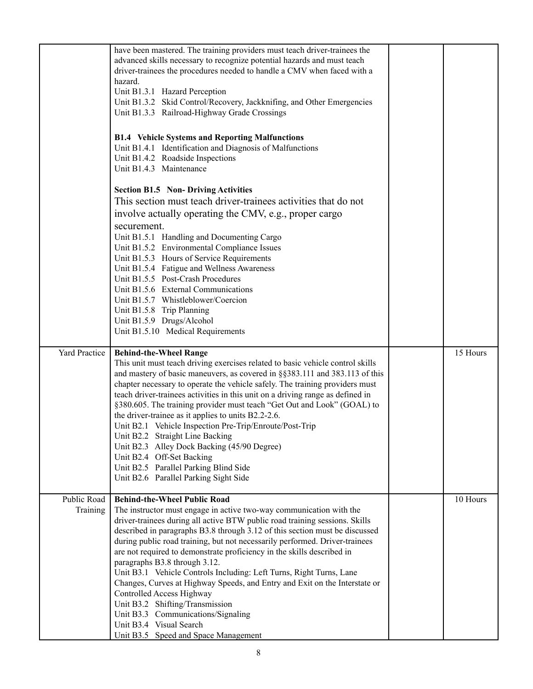|                         | have been mastered. The training providers must teach driver-trainees the<br>advanced skills necessary to recognize potential hazards and must teach<br>driver-trainees the procedures needed to handle a CMV when faced with a<br>hazard.<br>Unit B1.3.1 Hazard Perception                                                                                                                                                                                                                                                                                                                                                                                                                                                                                                                      |          |
|-------------------------|--------------------------------------------------------------------------------------------------------------------------------------------------------------------------------------------------------------------------------------------------------------------------------------------------------------------------------------------------------------------------------------------------------------------------------------------------------------------------------------------------------------------------------------------------------------------------------------------------------------------------------------------------------------------------------------------------------------------------------------------------------------------------------------------------|----------|
|                         | Unit B1.3.2 Skid Control/Recovery, Jackknifing, and Other Emergencies<br>Unit B1.3.3 Railroad-Highway Grade Crossings                                                                                                                                                                                                                                                                                                                                                                                                                                                                                                                                                                                                                                                                            |          |
|                         | <b>B1.4</b> Vehicle Systems and Reporting Malfunctions<br>Unit B1.4.1 Identification and Diagnosis of Malfunctions<br>Unit B1.4.2 Roadside Inspections<br>Unit B1.4.3 Maintenance                                                                                                                                                                                                                                                                                                                                                                                                                                                                                                                                                                                                                |          |
|                         | <b>Section B1.5 Non-Driving Activities</b><br>This section must teach driver-trainees activities that do not<br>involve actually operating the CMV, e.g., proper cargo<br>securement.                                                                                                                                                                                                                                                                                                                                                                                                                                                                                                                                                                                                            |          |
|                         | Unit B1.5.1 Handling and Documenting Cargo<br>Unit B1.5.2 Environmental Compliance Issues<br>Unit B1.5.3 Hours of Service Requirements<br>Unit B1.5.4 Fatigue and Wellness Awareness<br>Unit B1.5.5 Post-Crash Procedures                                                                                                                                                                                                                                                                                                                                                                                                                                                                                                                                                                        |          |
|                         | Unit B1.5.6 External Communications<br>Unit B1.5.7 Whistleblower/Coercion<br>Unit B1.5.8 Trip Planning<br>Unit B1.5.9 Drugs/Alcohol<br>Unit B1.5.10 Medical Requirements                                                                                                                                                                                                                                                                                                                                                                                                                                                                                                                                                                                                                         |          |
| <b>Yard Practice</b>    | <b>Behind-the-Wheel Range</b><br>This unit must teach driving exercises related to basic vehicle control skills<br>and mastery of basic maneuvers, as covered in §§383.111 and 383.113 of this<br>chapter necessary to operate the vehicle safely. The training providers must<br>teach driver-trainees activities in this unit on a driving range as defined in<br>§380.605. The training provider must teach "Get Out and Look" (GOAL) to<br>the driver-trainee as it applies to units B2.2-2.6.<br>Unit B2.1 Vehicle Inspection Pre-Trip/Enroute/Post-Trip<br>Unit B2.2 Straight Line Backing<br>Unit B2.3 Alley Dock Backing (45/90 Degree)<br>Unit B2.4 Off-Set Backing<br>Unit B2.5 Parallel Parking Blind Side<br>Unit B2.6 Parallel Parking Sight Side                                   | 15 Hours |
| Public Road<br>Training | <b>Behind-the-Wheel Public Road</b><br>The instructor must engage in active two-way communication with the<br>driver-trainees during all active BTW public road training sessions. Skills<br>described in paragraphs B3.8 through 3.12 of this section must be discussed<br>during public road training, but not necessarily performed. Driver-trainees<br>are not required to demonstrate proficiency in the skills described in<br>paragraphs B3.8 through 3.12.<br>Unit B3.1 Vehicle Controls Including: Left Turns, Right Turns, Lane<br>Changes, Curves at Highway Speeds, and Entry and Exit on the Interstate or<br>Controlled Access Highway<br>Unit B3.2 Shifting/Transmission<br>Unit B3.3 Communications/Signaling<br>Unit B3.4 Visual Search<br>Unit B3.5 Speed and Space Management | 10 Hours |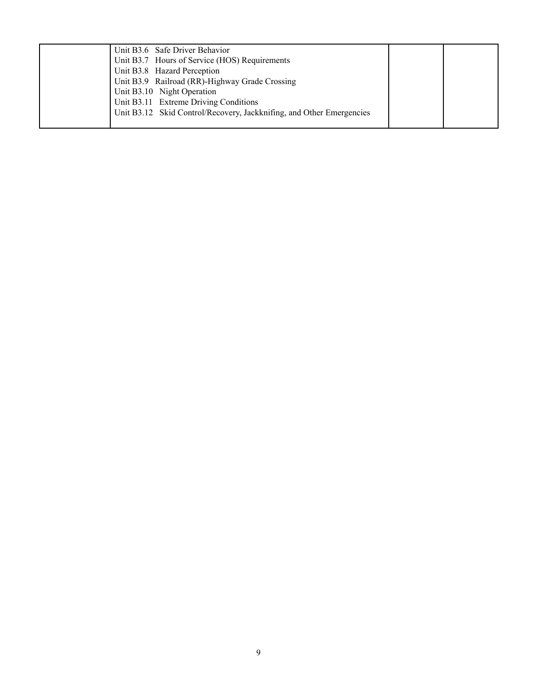| Unit B3.6 Safe Driver Behavior                                       |  |
|----------------------------------------------------------------------|--|
| Unit B3.7 Hours of Service (HOS) Requirements                        |  |
| Unit B3.8 Hazard Perception                                          |  |
| Unit B3.9 Railroad (RR)-Highway Grade Crossing                       |  |
| Unit B3.10 Night Operation                                           |  |
| Unit B3.11 Extreme Driving Conditions                                |  |
| Unit B3.12 Skid Control/Recovery, Jackknifing, and Other Emergencies |  |
|                                                                      |  |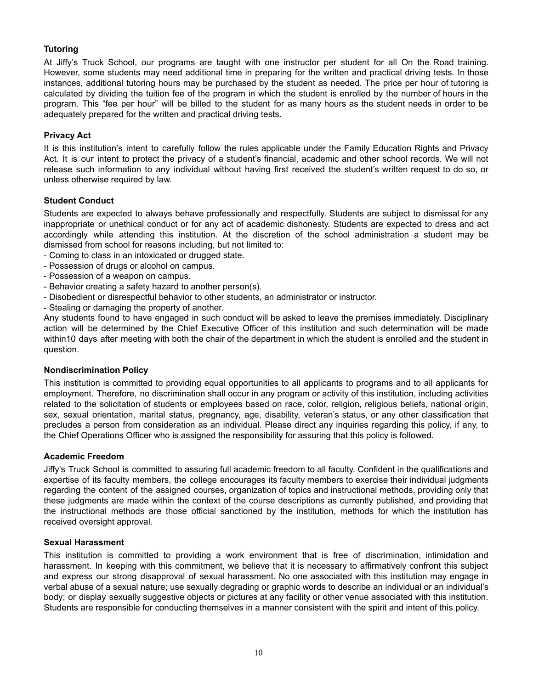## <span id="page-11-0"></span>**Tutoring**

At Jiffy's Truck School, our programs are taught with one instructor per student for all On the Road training. However, some students may need additional time in preparing for the written and practical driving tests. In those instances, additional tutoring hours may be purchased by the student as needed. The price per hour of tutoring is calculated by dividing the tuition fee of the program in which the student is enrolled by the number of hours in the program. This "fee per hour" will be billed to the student for as many hours as the student needs in order to be adequately prepared for the written and practical driving tests.

## **Privacy Act**

It is this institution's intent to carefully follow the rules applicable under the Family Education Rights and Privacy Act. It is our intent to protect the privacy of a student's financial, academic and other school records. We will not release such information to any individual without having first received the student's written request to do so, or unless otherwise required by law.

## **Student Conduct**

Students are expected to always behave professionally and respectfully. Students are subject to dismissal for any inappropriate or unethical conduct or for any act of academic dishonesty. Students are expected to dress and act accordingly while attending this institution. At the discretion of the school administration a student may be dismissed from school for reasons including, but not limited to:

- Coming to class in an intoxicated or drugged state.
- Possession of drugs or alcohol on campus.
- Possession of a weapon on campus.
- Behavior creating a safety hazard to another person(s).
- Disobedient or disrespectful behavior to other students, an administrator or instructor.
- Stealing or damaging the property of another.

Any students found to have engaged in such conduct will be asked to leave the premises immediately. Disciplinary action will be determined by the Chief Executive Officer of this institution and such determination will be made within10 days after meeting with both the chair of the department in which the student is enrolled and the student in question.

#### **Nondiscrimination Policy**

This institution is committed to providing equal opportunities to all applicants to programs and to all applicants for employment. Therefore, no discrimination shall occur in any program or activity of this institution, including activities related to the solicitation of students or employees based on race, color, religion, religious beliefs, national origin, sex, sexual orientation, marital status, pregnancy, age, disability, veteran's status, or any other classification that precludes a person from consideration as an individual. Please direct any inquiries regarding this policy, if any, to the Chief Operations Officer who is assigned the responsibility for assuring that this policy is followed.

#### **Academic Freedom**

Jiffy's Truck School is committed to assuring full academic freedom to all faculty. Confident in the qualifications and expertise of its faculty members, the college encourages its faculty members to exercise their individual judgments regarding the content of the assigned courses, organization of topics and instructional methods, providing only that these judgments are made within the context of the course descriptions as currently published, and providing that the instructional methods are those official sanctioned by the institution, methods for which the institution has received oversight approval.

#### **Sexual Harassment**

This institution is committed to providing a work environment that is free of discrimination, intimidation and harassment. In keeping with this commitment, we believe that it is necessary to affirmatively confront this subject and express our strong disapproval of sexual harassment. No one associated with this institution may engage in verbal abuse of a sexual nature; use sexually degrading or graphic words to describe an individual or an individual's body; or display sexually suggestive objects or pictures at any facility or other venue associated with this institution. Students are responsible for conducting themselves in a manner consistent with the spirit and intent of this policy.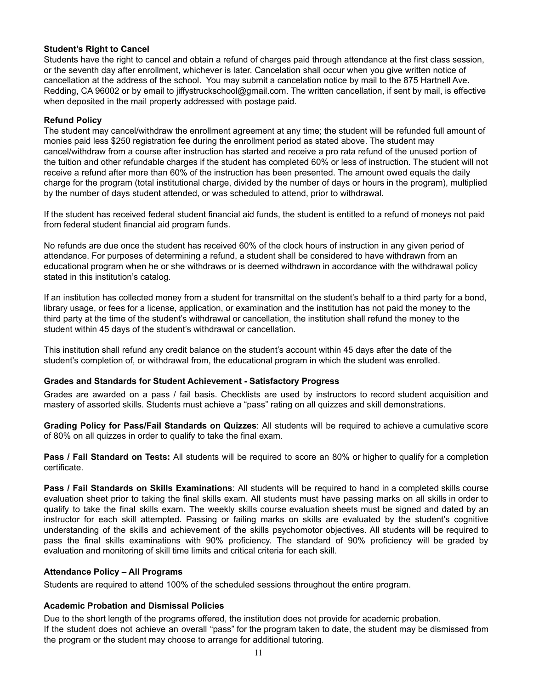## **Student's Right to Cancel**

Students have the right to cancel and obtain a refund of charges paid through attendance at the first class session, or the seventh day after enrollment, whichever is later. Cancelation shall occur when you give written notice of cancellation at the address of the school. You may submit a cancelation notice by mail to the 875 Hartnell Ave. Redding, CA 96002 or by email to jiffystruckschool@gmail.com. The written cancellation, if sent by mail, is effective when deposited in the mail property addressed with postage paid.

## **Refund Policy**

The student may cancel/withdraw the enrollment agreement at any time; the student will be refunded full amount of monies paid less \$250 registration fee during the enrollment period as stated above. The student may cancel/withdraw from a course after instruction has started and receive a pro rata refund of the unused portion of the tuition and other refundable charges if the student has completed 60% or less of instruction. The student will not receive a refund after more than 60% of the instruction has been presented. The amount owed equals the daily charge for the program (total institutional charge, divided by the number of days or hours in the program), multiplied by the number of days student attended, or was scheduled to attend, prior to withdrawal.

If the student has received federal student financial aid funds, the student is entitled to a refund of moneys not paid from federal student financial aid program funds.

No refunds are due once the student has received 60% of the clock hours of instruction in any given period of attendance. For purposes of determining a refund, a student shall be considered to have withdrawn from an educational program when he or she withdraws or is deemed withdrawn in accordance with the withdrawal policy stated in this institution's catalog.

If an institution has collected money from a student for transmittal on the student's behalf to a third party for a bond, library usage, or fees for a license, application, or examination and the institution has not paid the money to the third party at the time of the student's withdrawal or cancellation, the institution shall refund the money to the student within 45 days of the student's withdrawal or cancellation.

<span id="page-12-0"></span>This institution shall refund any credit balance on the student's account within 45 days after the date of the student's completion of, or withdrawal from, the educational program in which the student was enrolled.

#### **Grades and Standards for Student Achievement - Satisfactory Progress**

Grades are awarded on a pass / fail basis. Checklists are used by instructors to record student acquisition and mastery of assorted skills. Students must achieve a "pass" rating on all quizzes and skill demonstrations.

**Grading Policy for Pass/Fail Standards on Quizzes**: All students will be required to achieve a cumulative score of 80% on all quizzes in order to qualify to take the final exam.

**Pass / Fail Standard on Tests:** All students will be required to score an 80% or higher to qualify for a completion certificate.

**Pass / Fail Standards on Skills Examinations**: All students will be required to hand in a completed skills course evaluation sheet prior to taking the final skills exam. All students must have passing marks on all skills in order to qualify to take the final skills exam. The weekly skills course evaluation sheets must be signed and dated by an instructor for each skill attempted. Passing or failing marks on skills are evaluated by the student's cognitive understanding of the skills and achievement of the skills psychomotor objectives. All students will be required to pass the final skills examinations with 90% proficiency. The standard of 90% proficiency will be graded by evaluation and monitoring of skill time limits and critical criteria for each skill.

#### <span id="page-12-1"></span>**Attendance Policy – All Programs**

Students are required to attend 100% of the scheduled sessions throughout the entire program.

#### **Academic Probation and Dismissal Policies**

<span id="page-12-2"></span>Due to the short length of the programs offered, the institution does not provide for academic probation. If the student does not achieve an overall "pass" for the program taken to date, the student may be dismissed from the program or the student may choose to arrange for additional tutoring.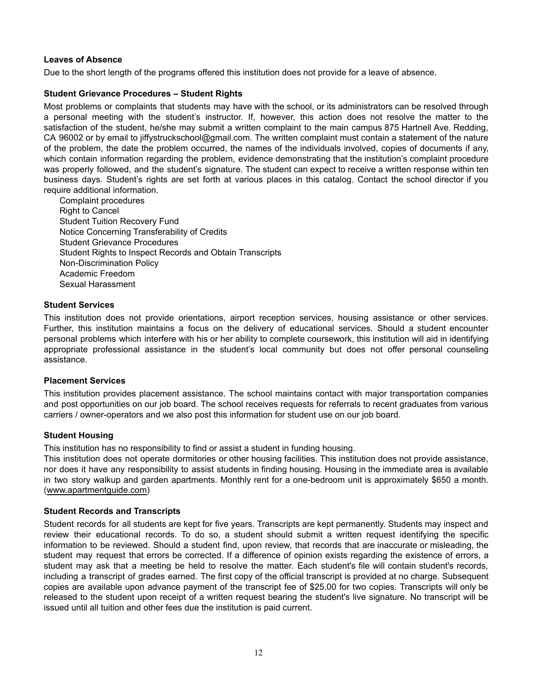## **Leaves of Absence**

Due to the short length of the programs offered this institution does not provide for a leave of absence.

## **Student Grievance Procedures – Student Rights**

Most problems or complaints that students may have with the school, or its administrators can be resolved through a personal meeting with the student's instructor. If, however, this action does not resolve the matter to the satisfaction of the student, he/she may submit a written complaint to the main campus 875 Hartnell Ave. Redding, CA 96002 or by email to jiffystruckschool@gmail.com. The written complaint must contain a statement of the nature of the problem, the date the problem occurred, the names of the individuals involved, copies of documents if any, which contain information regarding the problem, evidence demonstrating that the institution's complaint procedure was properly followed, and the student's signature. The student can expect to receive a written response within ten business days. Student's rights are set forth at various places in this catalog. Contact the school director if you require additional information.

Complaint procedures Right to Cancel Student Tuition Recovery Fund Notice Concerning Transferability of Credits Student Grievance Procedures Student Rights to Inspect Records and Obtain Transcripts Non-Discrimination Policy Academic Freedom Sexual Harassment

#### <span id="page-13-0"></span>**Student Services**

This institution does not provide orientations, airport reception services, housing assistance or other services. Further, this institution maintains a focus on the delivery of educational services. Should a student encounter personal problems which interfere with his or her ability to complete coursework, this institution will aid in identifying appropriate professional assistance in the student's local community but does not offer personal counseling assistance.

#### <span id="page-13-1"></span>**Placement Services**

<span id="page-13-2"></span>This institution provides placement assistance. The school maintains contact with major transportation companies and post opportunities on our job board. The school receives requests for referrals to recent graduates from various carriers / owner-operators and we also post this information for student use on our job board.

## **Student Housing**

This institution has no responsibility to find or assist a student in funding housing.

This institution does not operate dormitories or other housing facilities. This institution does not provide assistance, nor does it have any responsibility to assist students in finding housing. Housing in the immediate area is available in two story walkup and garden apartments. Monthly rent for a one-bedroom unit is approximately \$650 a month. ([www.apartmentguide.com\)](http://www.apartmentguide.com)

## **Student Records and Transcripts**

Student records for all students are kept for five years. Transcripts are kept permanently. Students may inspect and review their educational records. To do so, a student should submit a written request identifying the specific information to be reviewed. Should a student find, upon review, that records that are inaccurate or misleading, the student may request that errors be corrected. If a difference of opinion exists regarding the existence of errors, a student may ask that a meeting be held to resolve the matter. Each student's file will contain student's records, including a transcript of grades earned. The first copy of the official transcript is provided at no charge. Subsequent copies are available upon advance payment of the transcript fee of \$25.00 for two copies. Transcripts will only be released to the student upon receipt of a written request bearing the student's live signature. No transcript will be issued until all tuition and other fees due the institution is paid current.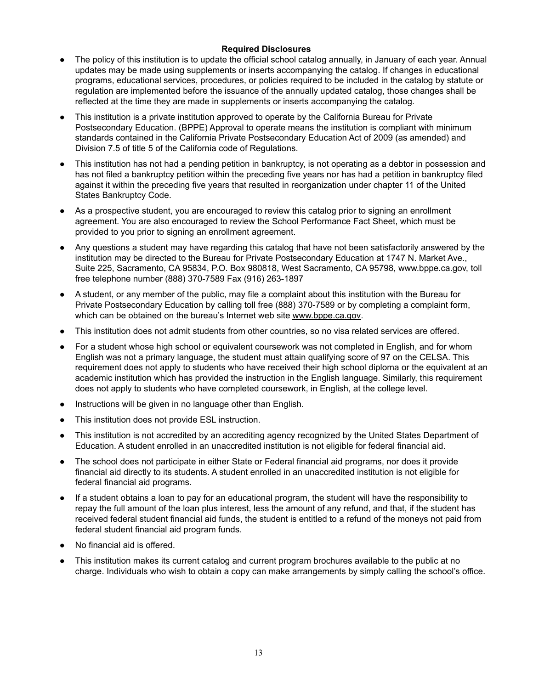## **Required Disclosures**

- <span id="page-14-0"></span>● The policy of this institution is to update the official school catalog annually, in January of each year. Annual updates may be made using supplements or inserts accompanying the catalog. If changes in educational programs, educational services, procedures, or policies required to be included in the catalog by statute or regulation are implemented before the issuance of the annually updated catalog, those changes shall be reflected at the time they are made in supplements or inserts accompanying the catalog.
- This institution is a private institution approved to operate by the California Bureau for Private Postsecondary Education. (BPPE) Approval to operate means the institution is compliant with minimum standards contained in the California Private Postsecondary Education Act of 2009 (as amended) and Division 7.5 of title 5 of the California code of Regulations.
- This institution has not had a pending petition in bankruptcy, is not operating as a debtor in possession and has not filed a bankruptcy petition within the preceding five years nor has had a petition in bankruptcy filed against it within the preceding five years that resulted in reorganization under chapter 11 of the United States Bankruptcy Code.
- As a prospective student, you are encouraged to review this catalog prior to signing an enrollment agreement. You are also encouraged to review the School Performance Fact Sheet, which must be provided to you prior to signing an enrollment agreement.
- Any questions a student may have regarding this catalog that have not been satisfactorily answered by the institution may be directed to the Bureau for Private Postsecondary Education at 1747 N. Market Ave., Suite 225, Sacramento, CA 95834, P.O. Box 980818, West Sacramento, CA 95798, www.bppe.ca.gov, toll free telephone number (888) 370-7589 Fax (916) 263-1897
- A student, or any member of the public, may file a complaint about this institution with the Bureau for Private Postsecondary Education by calling toll free (888) 370-7589 or by completing a complaint form, which can be obtained on the bureau's Internet web site [www.bppe.ca.gov.](http://www.bppe.ca.gov)
- This institution does not admit students from other countries, so no visa related services are offered.
- For a student whose high school or equivalent coursework was not completed in English, and for whom English was not a primary language, the student must attain qualifying score of 97 on the CELSA. This requirement does not apply to students who have received their high school diploma or the equivalent at an academic institution which has provided the instruction in the English language. Similarly, this requirement does not apply to students who have completed coursework, in English, at the college level.
- Instructions will be given in no language other than English.
- This institution does not provide ESL instruction.
- This institution is not accredited by an accrediting agency recognized by the United States Department of Education. A student enrolled in an unaccredited institution is not eligible for federal financial aid.
- The school does not participate in either State or Federal financial aid programs, nor does it provide financial aid directly to its students. A student enrolled in an unaccredited institution is not eligible for federal financial aid programs.
- If a student obtains a loan to pay for an educational program, the student will have the responsibility to repay the full amount of the loan plus interest, less the amount of any refund, and that, if the student has received federal student financial aid funds, the student is entitled to a refund of the moneys not paid from federal student financial aid program funds.
- No financial aid is offered.
- This institution makes its current catalog and current program brochures available to the public at no charge. Individuals who wish to obtain a copy can make arrangements by simply calling the school's office.